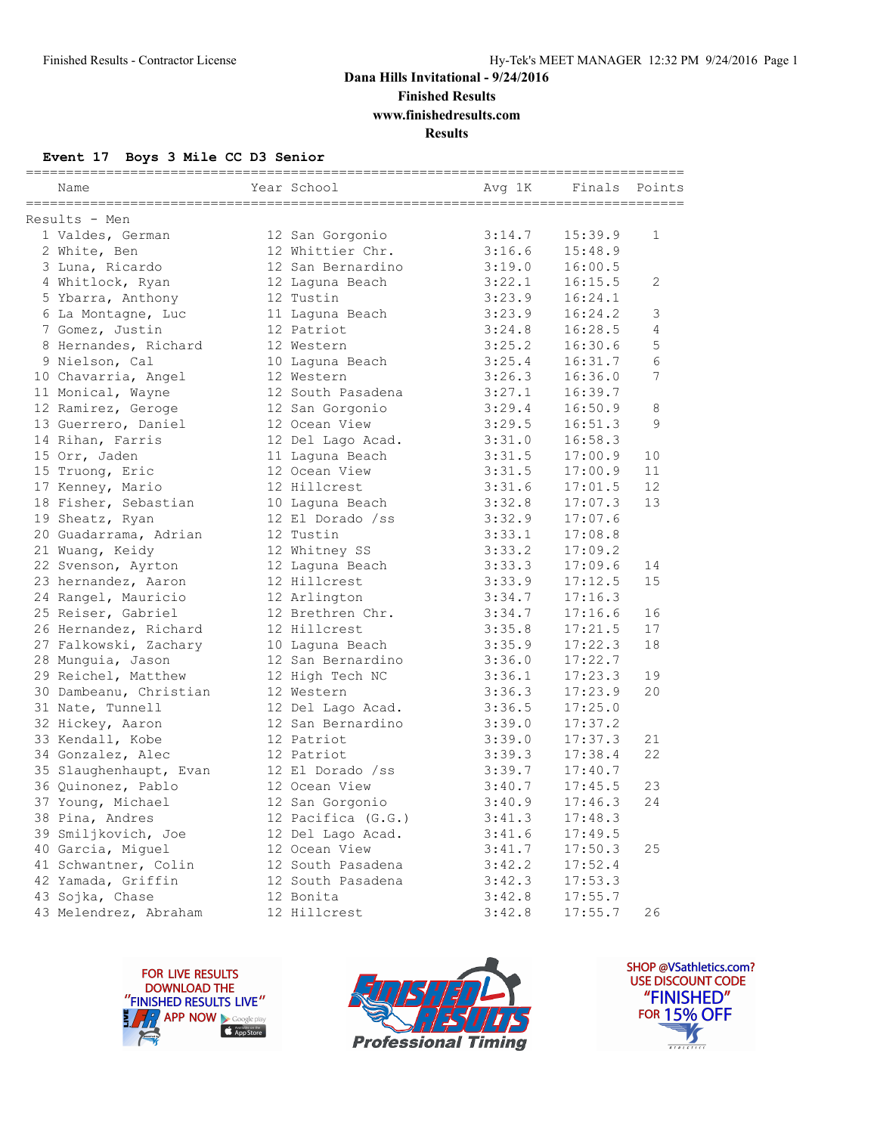## **Dana Hills Invitational - 9/24/2016 Finished Results**

**www.finishedresults.com**

**Results**

#### **Event 17 Boys 3 Mile CC D3 Senior**

| Name                   | Year School        | Avg 1K | Finals  | Points       |
|------------------------|--------------------|--------|---------|--------------|
| Results - Men          |                    |        |         |              |
| 1 Valdes, German       | 12 San Gorgonio    | 3:14.7 | 15:39.9 | $\mathbf{1}$ |
| 2 White, Ben           | 12 Whittier Chr.   | 3:16.6 | 15:48.9 |              |
| 3 Luna, Ricardo        | 12 San Bernardino  | 3:19.0 | 16:00.5 |              |
| 4 Whitlock, Ryan       | 12 Laquna Beach    | 3:22.1 | 16:15.5 | 2            |
| 5 Ybarra, Anthony      | 12 Tustin          | 3:23.9 | 16:24.1 |              |
| 6 La Montagne, Luc     | 11 Laquna Beach    | 3:23.9 | 16:24.2 | 3            |
| 7 Gomez, Justin        | 12 Patriot         | 3:24.8 | 16:28.5 | 4            |
| 8 Hernandes, Richard   | 12 Western         | 3:25.2 | 16:30.6 | 5            |
| 9 Nielson, Cal         | 10 Laguna Beach    | 3:25.4 | 16:31.7 | 6            |
| 10 Chavarria, Angel    | 12 Western         | 3:26.3 | 16:36.0 | 7            |
| 11 Monical, Wayne      | 12 South Pasadena  | 3:27.1 | 16:39.7 |              |
| 12 Ramirez, Geroge     | 12 San Gorgonio    | 3:29.4 | 16:50.9 | 8            |
| 13 Guerrero, Daniel    | 12 Ocean View      | 3:29.5 | 16:51.3 | 9            |
| 14 Rihan, Farris       | 12 Del Lago Acad.  | 3:31.0 | 16:58.3 |              |
| 15 Orr, Jaden          | 11 Laguna Beach    | 3:31.5 | 17:00.9 | 10           |
| 15 Truong, Eric        | 12 Ocean View      | 3:31.5 | 17:00.9 | 11           |
| 17 Kenney, Mario       | 12 Hillcrest       | 3:31.6 | 17:01.5 | 12           |
| 18 Fisher, Sebastian   | 10 Laguna Beach    | 3:32.8 | 17:07.3 | 13           |
| 19 Sheatz, Ryan        | 12 El Dorado /ss   | 3:32.9 | 17:07.6 |              |
| 20 Guadarrama, Adrian  | 12 Tustin          | 3:33.1 | 17:08.8 |              |
| 21 Wuang, Keidy        | 12 Whitney SS      | 3:33.2 | 17:09.2 |              |
| 22 Svenson, Ayrton     | 12 Laguna Beach    | 3:33.3 | 17:09.6 | 14           |
| 23 hernandez, Aaron    | 12 Hillcrest       | 3:33.9 | 17:12.5 | 15           |
| 24 Rangel, Mauricio    | 12 Arlington       | 3:34.7 | 17:16.3 |              |
| 25 Reiser, Gabriel     | 12 Brethren Chr.   | 3:34.7 | 17:16.6 | 16           |
| 26 Hernandez, Richard  | 12 Hillcrest       | 3:35.8 | 17:21.5 | 17           |
| 27 Falkowski, Zachary  | 10 Laguna Beach    | 3:35.9 | 17:22.3 | 18           |
| 28 Munguia, Jason      | 12 San Bernardino  | 3:36.0 | 17:22.7 |              |
| 29 Reichel, Matthew    | 12 High Tech NC    | 3:36.1 | 17:23.3 | 19           |
| 30 Dambeanu, Christian | 12 Western         | 3:36.3 | 17:23.9 | 20           |
| 31 Nate, Tunnell       | 12 Del Lago Acad.  | 3:36.5 | 17:25.0 |              |
| 32 Hickey, Aaron       | 12 San Bernardino  | 3:39.0 | 17:37.2 |              |
| 33 Kendall, Kobe       | 12 Patriot         | 3:39.0 | 17:37.3 | 21           |
| 34 Gonzalez, Alec      | 12 Patriot         | 3:39.3 | 17:38.4 | 22           |
| 35 Slaughenhaupt, Evan | 12 El Dorado /ss   | 3:39.7 | 17:40.7 |              |
| 36 Quinonez, Pablo     | 12 Ocean View      | 3:40.7 | 17:45.5 | 23           |
| 37 Young, Michael      | 12 San Gorgonio    | 3:40.9 | 17:46.3 | 24           |
| 38 Pina, Andres        | 12 Pacifica (G.G.) | 3:41.3 | 17:48.3 |              |
| 39 Smiljkovich, Joe    | 12 Del Lago Acad.  | 3:41.6 | 17:49.5 |              |
| 40 Garcia, Miguel      | 12 Ocean View      | 3:41.7 | 17:50.3 | 25           |
| 41 Schwantner, Colin   | 12 South Pasadena  | 3:42.2 | 17:52.4 |              |
| 42 Yamada, Griffin     | 12 South Pasadena  | 3:42.3 | 17:53.3 |              |
| 43 Sojka, Chase        | 12 Bonita          | 3:42.8 | 17:55.7 |              |
| 43 Melendrez, Abraham  | 12 Hillcrest       | 3:42.8 | 17:55.7 | 26           |





SHOP @VSathletics.com? USE DISCOUNT CODE "FINISHED" **FOR 15% OFF**  $\blacktriangle$  $\frac{1}{1}$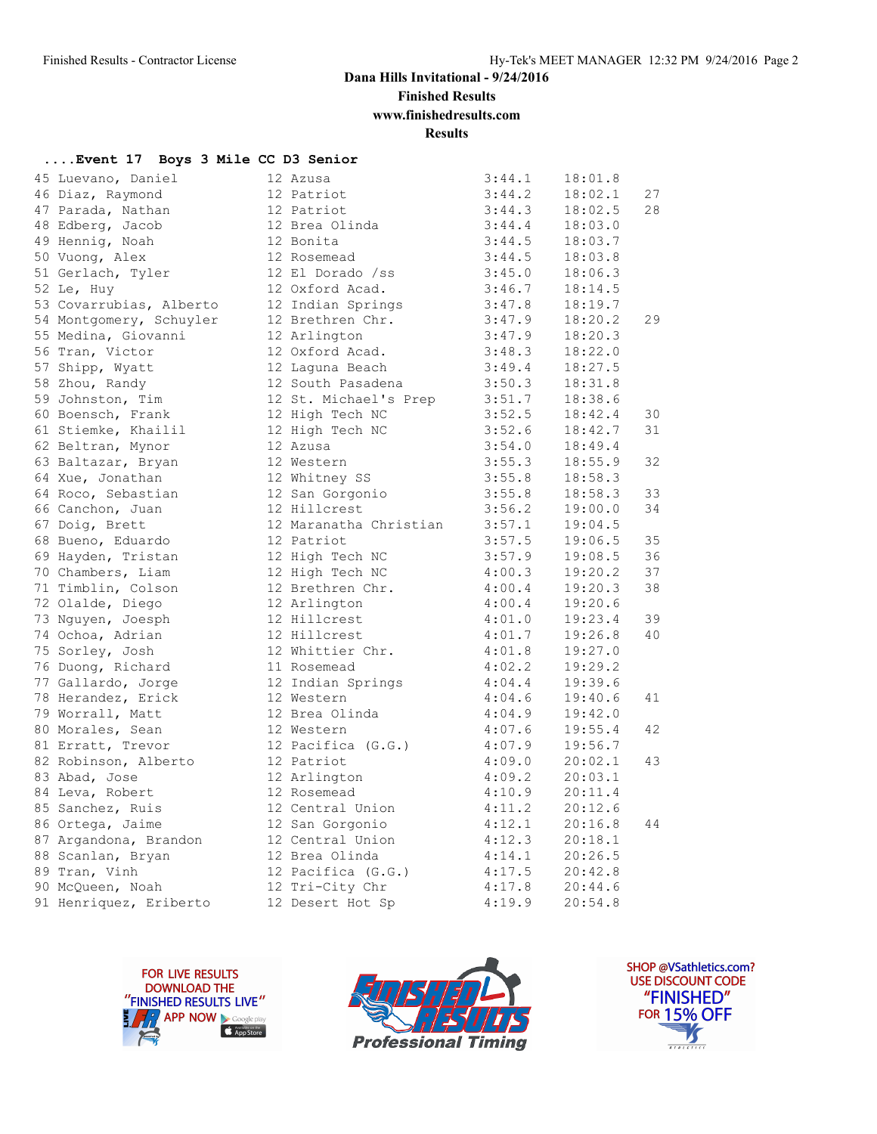## **Dana Hills Invitational - 9/24/2016**

**Finished Results**

**www.finishedresults.com**

**Results**

| Event 17 Boys 3 Mile CC D3 Senior |  |  |  |  |
|-----------------------------------|--|--|--|--|
|-----------------------------------|--|--|--|--|

| 45 Luevano, Daniel      | 12 Azusa               | 3:44.1 | 18:01.8 |    |
|-------------------------|------------------------|--------|---------|----|
| 46 Diaz, Raymond        | 12 Patriot             | 3:44.2 | 18:02.1 | 27 |
| 47 Parada, Nathan       | 12 Patriot             | 3:44.3 | 18:02.5 | 28 |
| 48 Edberg, Jacob        | 12 Brea Olinda         | 3:44.4 | 18:03.0 |    |
| 49 Hennig, Noah         | 12 Bonita              | 3:44.5 | 18:03.7 |    |
| 50 Vuong, Alex          | 12 Rosemead            | 3:44.5 | 18:03.8 |    |
| 51 Gerlach, Tyler       | 12 El Dorado /ss       | 3:45.0 | 18:06.3 |    |
| 52 Le, Huy              | 12 Oxford Acad.        | 3:46.7 | 18:14.5 |    |
| 53 Covarrubias, Alberto | 12 Indian Springs      | 3:47.8 | 18:19.7 |    |
| 54 Montgomery, Schuyler | 12 Brethren Chr.       | 3:47.9 | 18:20.2 | 29 |
| 55 Medina, Giovanni     | 12 Arlington           | 3:47.9 | 18:20.3 |    |
| 56 Tran, Victor         | 12 Oxford Acad.        | 3:48.3 | 18:22.0 |    |
| 57 Shipp, Wyatt         | 12 Laguna Beach        | 3:49.4 | 18:27.5 |    |
| 58 Zhou, Randy          | 12 South Pasadena      | 3:50.3 | 18:31.8 |    |
| 59 Johnston, Tim        | 12 St. Michael's Prep  | 3:51.7 | 18:38.6 |    |
| 60 Boensch, Frank       | 12 High Tech NC        | 3:52.5 | 18:42.4 | 30 |
| 61 Stiemke, Khailil     | 12 High Tech NC        | 3:52.6 | 18:42.7 | 31 |
| 62 Beltran, Mynor       | 12 Azusa               | 3:54.0 | 18:49.4 |    |
| 63 Baltazar, Bryan      | 12 Western             | 3:55.3 | 18:55.9 | 32 |
| 64 Xue, Jonathan        | 12 Whitney SS          | 3:55.8 | 18:58.3 |    |
| 64 Roco, Sebastian      | 12 San Gorgonio        | 3:55.8 | 18:58.3 | 33 |
| 66 Canchon, Juan        | 12 Hillcrest           | 3:56.2 | 19:00.0 | 34 |
| 67 Doig, Brett          | 12 Maranatha Christian | 3:57.1 | 19:04.5 |    |
| 68 Bueno, Eduardo       | 12 Patriot             | 3:57.5 | 19:06.5 | 35 |
| 69 Hayden, Tristan      | 12 High Tech NC        | 3:57.9 | 19:08.5 | 36 |
| 70 Chambers, Liam       | 12 High Tech NC        | 4:00.3 | 19:20.2 | 37 |
| 71 Timblin, Colson      | 12 Brethren Chr.       | 4:00.4 | 19:20.3 | 38 |
| 72 Olalde, Diego        | 12 Arlington           | 4:00.4 | 19:20.6 |    |
| 73 Nguyen, Joesph       | 12 Hillcrest           | 4:01.0 | 19:23.4 | 39 |
| 74 Ochoa, Adrian        | 12 Hillcrest           | 4:01.7 | 19:26.8 | 40 |
| 75 Sorley, Josh         | 12 Whittier Chr.       | 4:01.8 | 19:27.0 |    |
| 76 Duong, Richard       | 11 Rosemead            | 4:02.2 | 19:29.2 |    |
| 77 Gallardo, Jorge      | 12 Indian Springs      | 4:04.4 | 19:39.6 |    |
| 78 Herandez, Erick      | 12 Western             | 4:04.6 | 19:40.6 | 41 |
| 79 Worrall, Matt        | 12 Brea Olinda         | 4:04.9 | 19:42.0 |    |
| 80 Morales, Sean        | 12 Western             | 4:07.6 | 19:55.4 | 42 |
| 81 Erratt, Trevor       | 12 Pacifica (G.G.)     | 4:07.9 | 19:56.7 |    |
| 82 Robinson, Alberto    | 12 Patriot             | 4:09.0 | 20:02.1 | 43 |
| 83 Abad, Jose           | 12 Arlington           | 4:09.2 | 20:03.1 |    |
| 84 Leva, Robert         | 12 Rosemead            | 4:10.9 | 20:11.4 |    |
| 85 Sanchez, Ruis        | 12 Central Union       | 4:11.2 | 20:12.6 |    |
| 86 Ortega, Jaime        | 12 San Gorgonio        | 4:12.1 | 20:16.8 | 44 |
| 87 Argandona, Brandon   | 12 Central Union       | 4:12.3 | 20:18.1 |    |
| 88 Scanlan, Bryan       | 12 Brea Olinda         | 4:14.1 | 20:26.5 |    |
| 89 Tran, Vinh           | 12 Pacifica (G.G.)     | 4:17.5 | 20:42.8 |    |
| 90 McQueen, Noah        | 12 Tri-City Chr        | 4:17.8 | 20:44.6 |    |
| 91 Henriquez, Eriberto  | 12 Desert Hot Sp       | 4:19.9 | 20:54.8 |    |





SHOP @VSathletics.com? USE DISCOUNT CODE "FINISHED" **FOR 15% OFF**  $\frac{1}{\sqrt{2}}$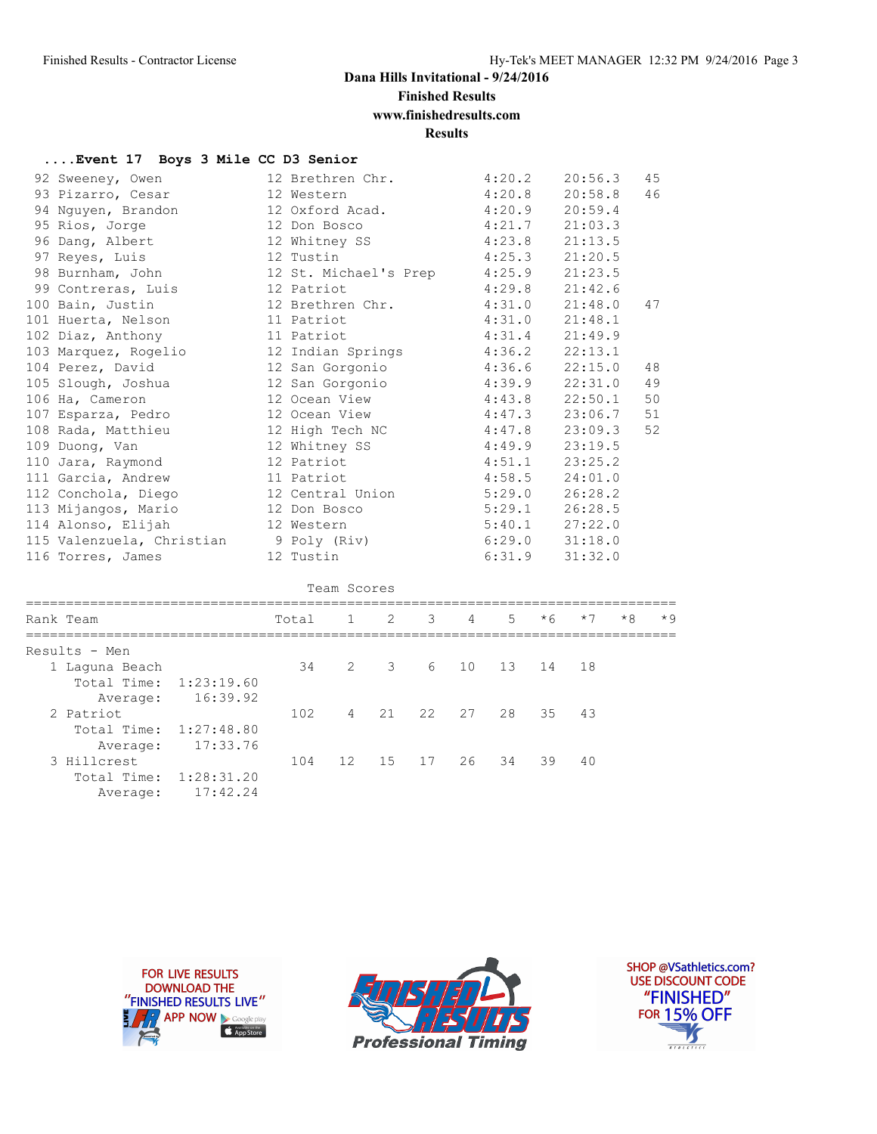# **Dana Hills Invitational - 9/24/2016**

**Finished Results**

# **www.finishedresults.com**

**Results**

#### **....Event 17 Boys 3 Mile CC D3 Senior**

| 92 Sweeney, Owen          |                 |            | 12 Brethren Chr.      |                |        |                | 4:20.2  |         | 20:56.3 |      | 45   |
|---------------------------|-----------------|------------|-----------------------|----------------|--------|----------------|---------|---------|---------|------|------|
| 93 Pizarro, Cesar         | 12 Western      |            |                       |                | 4:20.8 |                | 20:58.8 |         | 46      |      |      |
| 94 Nguyen, Brandon        | 12 Oxford Acad. |            |                       |                |        |                | 4:20.9  |         | 20:59.4 |      |      |
| 95 Rios, Jorge            | 12 Don Bosco    |            |                       |                |        |                | 4:21.7  |         | 21:03.3 |      |      |
| 96 Dang, Albert           | 12 Whitney SS   |            |                       |                |        |                | 4:23.8  |         | 21:13.5 |      |      |
| 97 Reyes, Luis            | 12 Tustin       |            |                       |                |        |                | 4:25.3  |         | 21:20.5 |      |      |
| 98 Burnham, John          |                 |            | 12 St. Michael's Prep |                |        |                | 4:25.9  |         | 21:23.5 |      |      |
| 99 Contreras, Luis        |                 | 12 Patriot |                       |                |        |                | 4:29.8  |         | 21:42.6 |      |      |
| 100 Bain, Justin          |                 |            | 12 Brethren Chr.      |                |        |                | 4:31.0  |         | 21:48.0 |      | 47   |
| 101 Huerta, Nelson        |                 | 11 Patriot |                       |                |        |                | 4:31.0  |         | 21:48.1 |      |      |
| 102 Diaz, Anthony         |                 | 11 Patriot |                       |                |        |                | 4:31.4  |         | 21:49.9 |      |      |
| 103 Marquez, Rogelio      |                 |            | 12 Indian Springs     |                |        |                | 4:36.2  |         | 22:13.1 |      |      |
| 104 Perez, David          |                 |            | 12 San Gorgonio       |                |        | 4:36.6         |         | 22:15.0 |         | 48   |      |
| 105 Slough, Joshua        |                 |            | 12 San Gorgonio       |                |        |                | 4:39.9  |         | 22:31.0 |      | 49   |
| 106 Ha, Cameron           |                 |            | 12 Ocean View         |                |        |                | 4:43.8  |         | 22:50.1 |      | 50   |
| 107 Esparza, Pedro        | 12 Ocean View   |            |                       |                |        |                | 4:47.3  |         | 23:06.7 |      | 51   |
| 108 Rada, Matthieu        |                 |            | 12 High Tech NC       |                |        |                | 4:47.8  |         | 23:09.3 |      | 52   |
| 109 Duong, Van            | 12 Whitney SS   |            |                       |                |        |                | 4:49.9  |         | 23:19.5 |      |      |
| 110 Jara, Raymond         | 12 Patriot      |            |                       |                |        |                | 4:51.1  |         | 23:25.2 |      |      |
| 111 Garcia, Andrew        |                 | 11 Patriot |                       |                |        |                | 4:58.5  |         | 24:01.0 |      |      |
| 112 Conchola, Diego       |                 |            | 12 Central Union      |                |        |                | 5:29.0  |         | 26:28.2 |      |      |
| 113 Mijangos, Mario       |                 |            | 12 Don Bosco          |                |        |                | 5:29.1  |         | 26:28.5 |      |      |
| 114 Alonso, Elijah        |                 | 12 Western |                       |                |        |                | 5:40.1  |         | 27:22.0 |      |      |
| 115 Valenzuela, Christian |                 |            | 9 Poly (Riv)          |                |        |                | 6:29.0  |         | 31:18.0 |      |      |
| 116 Torres, James         |                 | 12 Tustin  |                       |                |        |                | 6:31.9  |         | 31:32.0 |      |      |
|                           |                 |            |                       |                |        |                |         |         |         |      |      |
|                           |                 |            | Team Scores           |                |        |                |         |         |         |      |      |
| Rank Team                 |                 | Total      | $\mathbf{1}$          | $\overline{2}$ | 3      | $\overline{4}$ | 5       | $*6$    | $*7$    | $*8$ | $*9$ |
| Results - Men             |                 |            |                       |                |        |                |         |         |         |      |      |
| 1 Laguna Beach            |                 | 34         | 2                     | 3              | 6      | 10             | 13      | 14      | 18      |      |      |
| Total Time:<br>1:23:19.60 |                 |            |                       |                |        |                |         |         |         |      |      |
| 16:39.92<br>Average:      |                 |            |                       |                |        |                |         |         |         |      |      |
| 2 Patriot                 |                 | 102        | 4                     | 21             | 22     | 27             | 28      | 35      | 43      |      |      |
| Total Time: 1:27:48.80    |                 |            |                       |                |        |                |         |         |         |      |      |
| 17:33.76<br>Average:      |                 |            |                       |                |        |                |         |         |         |      |      |
|                           |                 |            |                       |                |        |                |         |         |         |      |      |

3 Hillcrest 104 12 15 17 26 34 39 40



 Total Time: 1:28:31.20 Average: 17:42.24



SHOP @VSathletics.com? USE DISCOUNT CODE "FINISHED" **FOR 15% OFF** M  $\frac{1}{\sqrt{181411111}}$